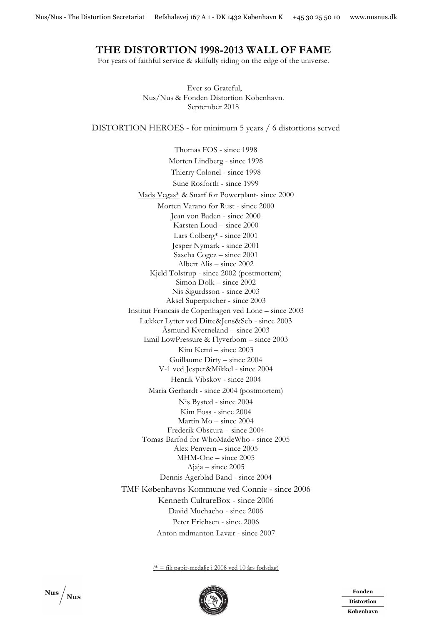## **THE DISTORTION 1998-2013 WALL OF FAME**

For years of faithful service & skilfully riding on the edge of the universe.

Ever so Grateful, Nus/Nus & Fonden Distortion København. September 2018

DISTORTION HEROES - for minimum 5 years / 6 distortions served

Thomas FOS - since 1998 Morten Lindberg - since 1998 Thierry Colonel - since 1998 Sune Rosforth - since 1999 Mads Vegas\* & Snarf for Powerplant- since 2000 Morten Varano for Rust - since 2000 Jean von Baden - since 2000 Karsten Loud – since 2000 Lars Colberg\* - since 2001 Jesper Nymark - since 2001 Sascha Cogez – since 2001 Albert Alis – since 2002 Kjeld Tolstrup - since 2002 (postmortem) Simon Dolk – since 2002 Nis Sigurdsson - since 2003 Aksel Superpitcher - since 2003 Institut Francais de Copenhagen ved Lone – since 2003 Lækker Lytter ved Ditte&Jens&Seb - since 2003 Åsmund Kverneland – since 2003 Emil LowPressure & Flyverbom – since 2003 Kim Kemi – since 2003 Guillaume Dirty – since 2004 V-1 ved Jesper&Mikkel - since 2004 Henrik Vibskov - since 2004 Maria Gerhardt - since 2004 (postmortem) Nis Bysted - since 2004 Kim Foss - since 2004 Martin Mo – since 2004 Frederik Obscura – since 2004 Tomas Barfod for WhoMadeWho - since 2005 Alex Penvern – since 2005 MHM-One – since 2005 Ajaja – since 2005 Dennis Agerblad Band - since 2004 TMF Københavns Kommune ved Connie - since 2006 Kenneth CultureBox - since 2006 David Muchacho - since 2006 Peter Erichsen - since 2006 Anton mdmanton Lavær - since 2007

 $(*)$  = fik papir-medalje i 2008 ved 10 års fødsdag)



Fonden **Distortion** København